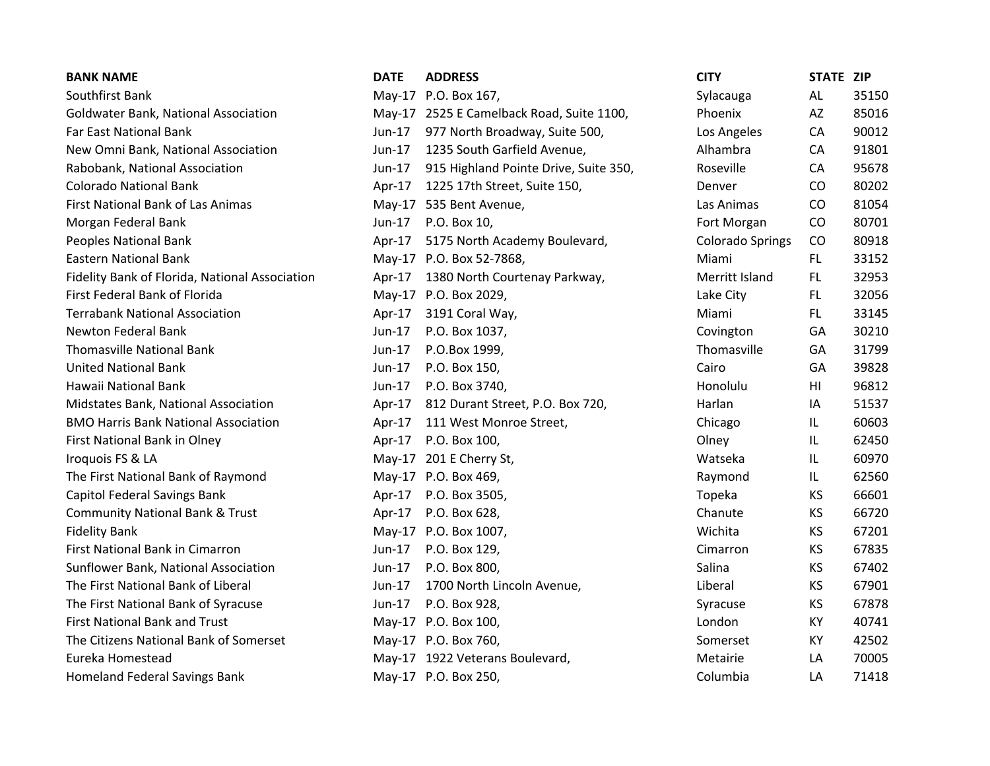| <b>BANK NAME</b>                               | <b>DATE</b> | <b>ADDRESS</b>                            | <b>CITY</b>             | STATE ZIP |       |
|------------------------------------------------|-------------|-------------------------------------------|-------------------------|-----------|-------|
| Southfirst Bank                                |             | May-17 P.O. Box 167,                      | Sylacauga               | AL        | 35150 |
| Goldwater Bank, National Association           |             | May-17 2525 E Camelback Road, Suite 1100, | Phoenix                 | AZ        | 85016 |
| Far East National Bank                         | Jun-17      | 977 North Broadway, Suite 500,            | Los Angeles             | CA        | 90012 |
| New Omni Bank, National Association            | Jun-17      | 1235 South Garfield Avenue,               | Alhambra                | CA        | 91801 |
| Rabobank, National Association                 | Jun-17      | 915 Highland Pointe Drive, Suite 350,     | Roseville               | CA        | 95678 |
| <b>Colorado National Bank</b>                  | Apr-17      | 1225 17th Street, Suite 150,              | Denver                  | CO        | 80202 |
| <b>First National Bank of Las Animas</b>       |             | May-17 535 Bent Avenue,                   | Las Animas              | CO        | 81054 |
| Morgan Federal Bank                            | Jun-17      | P.O. Box 10,                              | Fort Morgan             | CO        | 80701 |
| Peoples National Bank                          | $Apr-17$    | 5175 North Academy Boulevard,             | <b>Colorado Springs</b> | CO        | 80918 |
| <b>Eastern National Bank</b>                   |             | May-17 P.O. Box 52-7868,                  | Miami                   | FL.       | 33152 |
| Fidelity Bank of Florida, National Association | Apr- $17$   | 1380 North Courtenay Parkway,             | Merritt Island          | FL.       | 32953 |
| First Federal Bank of Florida                  |             | May-17 P.O. Box 2029,                     | Lake City               | FL.       | 32056 |
| <b>Terrabank National Association</b>          |             | Apr-17 3191 Coral Way,                    | Miami                   | FL.       | 33145 |
| Newton Federal Bank                            | Jun-17      | P.O. Box 1037,                            | Covington               | GA        | 30210 |
| <b>Thomasville National Bank</b>               | Jun-17      | P.O.Box 1999,                             | Thomasville             | GA        | 31799 |
| <b>United National Bank</b>                    | $Jun-17$    | P.O. Box 150,                             | Cairo                   | GA        | 39828 |
| Hawaii National Bank                           | Jun-17      | P.O. Box 3740,                            | Honolulu                | HI        | 96812 |
| Midstates Bank, National Association           |             | Apr-17 812 Durant Street, P.O. Box 720,   | Harlan                  | IA        | 51537 |
| <b>BMO Harris Bank National Association</b>    | Apr-17      | 111 West Monroe Street,                   | Chicago                 | IL.       | 60603 |
| First National Bank in Olney                   |             | Apr-17 P.O. Box 100,                      | Olney                   | IL        | 62450 |
| Iroquois FS & LA                               |             | May-17 201 E Cherry St,                   | Watseka                 | IL        | 60970 |
| The First National Bank of Raymond             |             | May-17 P.O. Box 469,                      | Raymond                 | IL.       | 62560 |
| <b>Capitol Federal Savings Bank</b>            |             | Apr-17 P.O. Box 3505,                     | Topeka                  | KS        | 66601 |
| <b>Community National Bank &amp; Trust</b>     |             | Apr-17 P.O. Box 628,                      | Chanute                 | <b>KS</b> | 66720 |
| <b>Fidelity Bank</b>                           |             | May-17 P.O. Box 1007,                     | Wichita                 | KS        | 67201 |
| First National Bank in Cimarron                | Jun-17      | P.O. Box 129,                             | Cimarron                | KS        | 67835 |
| Sunflower Bank, National Association           | $Jun-17$    | P.O. Box 800,                             | Salina                  | KS        | 67402 |
| The First National Bank of Liberal             | Jun-17      | 1700 North Lincoln Avenue,                | Liberal                 | <b>KS</b> | 67901 |
| The First National Bank of Syracuse            | Jun-17      | P.O. Box 928,                             | Syracuse                | KS        | 67878 |
| <b>First National Bank and Trust</b>           |             | May-17 P.O. Box 100,                      | London                  | KY        | 40741 |
| The Citizens National Bank of Somerset         |             | May-17 P.O. Box 760,                      | Somerset                | KY        | 42502 |
| Eureka Homestead                               |             | May-17 1922 Veterans Boulevard,           | Metairie                | LA        | 70005 |
| <b>Homeland Federal Savings Bank</b>           |             | May-17 P.O. Box 250,                      | Columbia                | LA        | 71418 |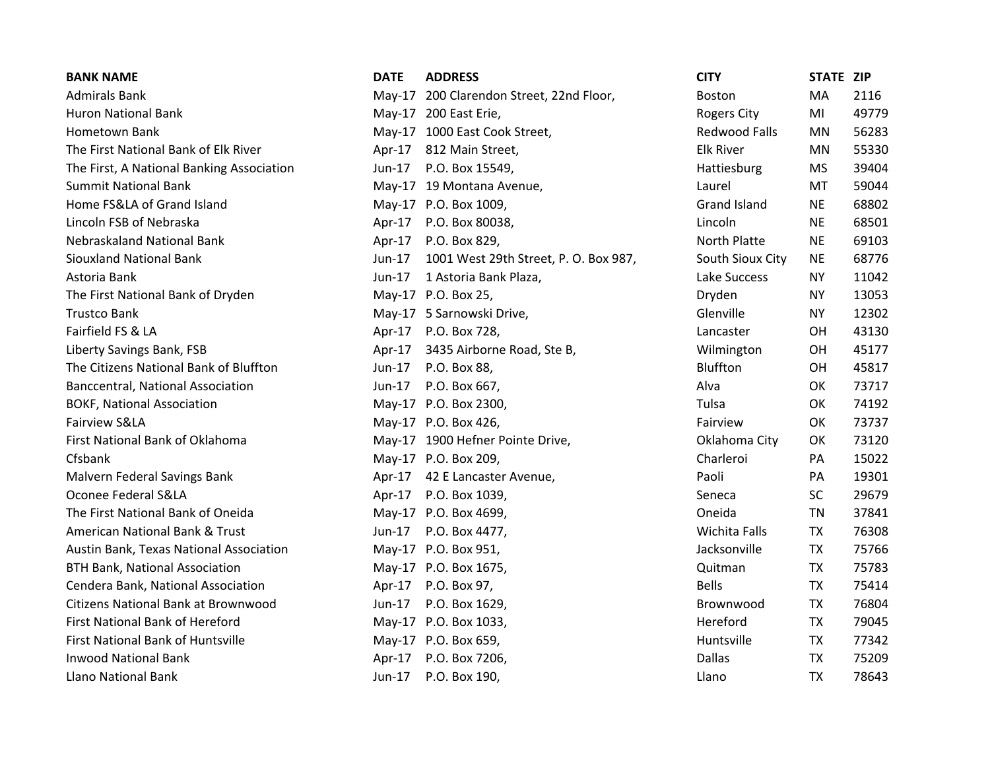| <b>BANK NAME</b>                           | <b>DATE</b> | <b>ADDRESS</b>                           | <b>CITY</b>          | STATE ZIP |       |
|--------------------------------------------|-------------|------------------------------------------|----------------------|-----------|-------|
| <b>Admirals Bank</b>                       |             | May-17 200 Clarendon Street, 22nd Floor, | <b>Boston</b>        | MA        | 2116  |
| <b>Huron National Bank</b>                 |             | May-17 200 East Erie,                    | <b>Rogers City</b>   | MI        | 49779 |
| Hometown Bank                              |             | May-17 1000 East Cook Street,            | Redwood Falls        | <b>MN</b> | 56283 |
| The First National Bank of Elk River       | Apr-17      | 812 Main Street,                         | <b>Elk River</b>     | MN        | 55330 |
| The First, A National Banking Association  | Jun-17      | P.O. Box 15549,                          | Hattiesburg          | MS        | 39404 |
| <b>Summit National Bank</b>                |             | May-17 19 Montana Avenue,                | Laurel               | MT        | 59044 |
| Home FS&LA of Grand Island                 |             | May-17 P.O. Box 1009,                    | <b>Grand Island</b>  | <b>NE</b> | 68802 |
| Lincoln FSB of Nebraska                    | Apr-17      | P.O. Box 80038,                          | Lincoln              | <b>NE</b> | 68501 |
| Nebraskaland National Bank                 | Apr-17      | P.O. Box 829,                            | <b>North Platte</b>  | <b>NE</b> | 69103 |
| <b>Siouxland National Bank</b>             | Jun-17      | 1001 West 29th Street, P. O. Box 987,    | South Sioux City     | <b>NE</b> | 68776 |
| Astoria Bank                               | Jun-17      | 1 Astoria Bank Plaza,                    | Lake Success         | <b>NY</b> | 11042 |
| The First National Bank of Dryden          |             | May-17 P.O. Box 25,                      | Dryden               | <b>NY</b> | 13053 |
| <b>Trustco Bank</b>                        |             | May-17 5 Sarnowski Drive,                | Glenville            | <b>NY</b> | 12302 |
| Fairfield FS & LA                          |             | Apr-17 P.O. Box 728,                     | Lancaster            | OH        | 43130 |
| Liberty Savings Bank, FSB                  | Apr-17      | 3435 Airborne Road, Ste B,               | Wilmington           | OH        | 45177 |
| The Citizens National Bank of Bluffton     | Jun-17      | P.O. Box 88,                             | Bluffton             | OH        | 45817 |
| Banccentral, National Association          | $Jun-17$    | P.O. Box 667,                            | Alva                 | OK        | 73717 |
| <b>BOKF, National Association</b>          |             | May-17 P.O. Box 2300,                    | Tulsa                | OK        | 74192 |
| Fairview S&LA                              |             | May-17 P.O. Box 426,                     | Fairview             | OK        | 73737 |
| First National Bank of Oklahoma            |             | May-17 1900 Hefner Pointe Drive,         | Oklahoma City        | OK        | 73120 |
| Cfsbank                                    |             | May-17 P.O. Box 209,                     | Charleroi            | PA        | 15022 |
| Malvern Federal Savings Bank               |             | Apr-17 42 E Lancaster Avenue,            | Paoli                | PA        | 19301 |
| Oconee Federal S&LA                        |             | Apr-17 P.O. Box 1039,                    | Seneca               | <b>SC</b> | 29679 |
| The First National Bank of Oneida          |             | May-17 P.O. Box 4699,                    | Oneida               | <b>TN</b> | 37841 |
| American National Bank & Trust             | $Jun-17$    | P.O. Box 4477,                           | <b>Wichita Falls</b> | <b>TX</b> | 76308 |
| Austin Bank, Texas National Association    |             | May-17 P.O. Box 951,                     | Jacksonville         | <b>TX</b> | 75766 |
| <b>BTH Bank, National Association</b>      |             | May-17 P.O. Box 1675,                    | Quitman              | <b>TX</b> | 75783 |
| Cendera Bank, National Association         | Apr-17      | P.O. Box 97,                             | <b>Bells</b>         | TX        | 75414 |
| <b>Citizens National Bank at Brownwood</b> | $Jun-17$    | P.O. Box 1629,                           | Brownwood            | <b>TX</b> | 76804 |
| First National Bank of Hereford            |             | May-17 P.O. Box 1033,                    | Hereford             | <b>TX</b> | 79045 |
| <b>First National Bank of Huntsville</b>   |             | May-17 P.O. Box 659,                     | Huntsville           | <b>TX</b> | 77342 |
| <b>Inwood National Bank</b>                | Apr-17      | P.O. Box 7206,                           | <b>Dallas</b>        | <b>TX</b> | 75209 |
| <b>Llano National Bank</b>                 | Jun-17      | P.O. Box 190,                            | Llano                | <b>TX</b> | 78643 |